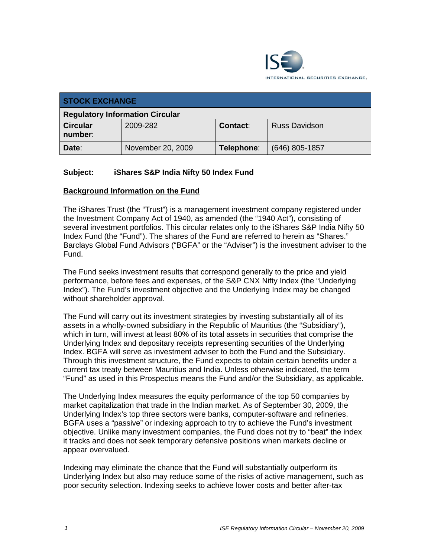

| <b>STOCK EXCHANGE</b>                  |                   |                 |                      |  |  |
|----------------------------------------|-------------------|-----------------|----------------------|--|--|
| <b>Regulatory Information Circular</b> |                   |                 |                      |  |  |
| <b>Circular</b><br>number:             | 2009-282          | <b>Contact:</b> | <b>Russ Davidson</b> |  |  |
| Date:                                  | November 20, 2009 | Telephone:      | $(646)$ 805-1857     |  |  |

### **Subject: iShares S&P India Nifty 50 Index Fund**

#### **Background Information on the Fund**

The iShares Trust (the "Trust") is a management investment company registered under the Investment Company Act of 1940, as amended (the "1940 Act"), consisting of several investment portfolios. This circular relates only to the iShares S&P India Nifty 50 Index Fund (the "Fund"). The shares of the Fund are referred to herein as "Shares." Barclays Global Fund Advisors ("BGFA" or the "Adviser") is the investment adviser to the Fund.

The Fund seeks investment results that correspond generally to the price and yield performance, before fees and expenses, of the S&P CNX Nifty Index (the "Underlying Index"). The Fund's investment objective and the Underlying Index may be changed without shareholder approval.

The Fund will carry out its investment strategies by investing substantially all of its assets in a wholly-owned subsidiary in the Republic of Mauritius (the "Subsidiary"), which in turn, will invest at least 80% of its total assets in securities that comprise the Underlying Index and depositary receipts representing securities of the Underlying Index. BGFA will serve as investment adviser to both the Fund and the Subsidiary. Through this investment structure, the Fund expects to obtain certain benefits under a current tax treaty between Mauritius and India. Unless otherwise indicated, the term "Fund" as used in this Prospectus means the Fund and/or the Subsidiary, as applicable.

The Underlying Index measures the equity performance of the top 50 companies by market capitalization that trade in the Indian market. As of September 30, 2009, the Underlying Index's top three sectors were banks, computer-software and refineries. BGFA uses a "passive" or indexing approach to try to achieve the Fund's investment objective. Unlike many investment companies, the Fund does not try to "beat" the index it tracks and does not seek temporary defensive positions when markets decline or appear overvalued.

Indexing may eliminate the chance that the Fund will substantially outperform its Underlying Index but also may reduce some of the risks of active management, such as poor security selection. Indexing seeks to achieve lower costs and better after-tax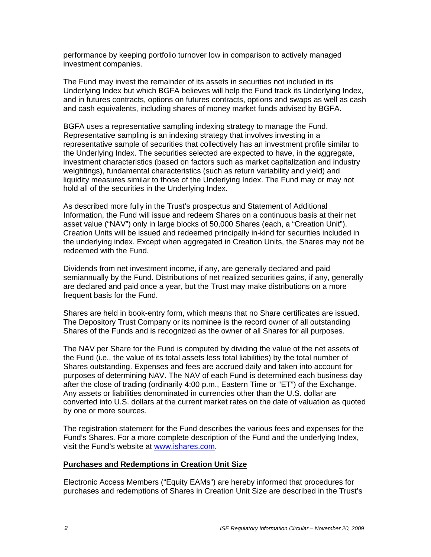performance by keeping portfolio turnover low in comparison to actively managed investment companies.

The Fund may invest the remainder of its assets in securities not included in its Underlying Index but which BGFA believes will help the Fund track its Underlying Index, and in futures contracts, options on futures contracts, options and swaps as well as cash and cash equivalents, including shares of money market funds advised by BGFA.

BGFA uses a representative sampling indexing strategy to manage the Fund. Representative sampling is an indexing strategy that involves investing in a representative sample of securities that collectively has an investment profile similar to the Underlying Index. The securities selected are expected to have, in the aggregate, investment characteristics (based on factors such as market capitalization and industry weightings), fundamental characteristics (such as return variability and yield) and liquidity measures similar to those of the Underlying Index. The Fund may or may not hold all of the securities in the Underlying Index.

As described more fully in the Trust's prospectus and Statement of Additional Information, the Fund will issue and redeem Shares on a continuous basis at their net asset value ("NAV") only in large blocks of 50,000 Shares (each, a "Creation Unit"). Creation Units will be issued and redeemed principally in-kind for securities included in the underlying index. Except when aggregated in Creation Units, the Shares may not be redeemed with the Fund.

Dividends from net investment income, if any, are generally declared and paid semiannually by the Fund. Distributions of net realized securities gains, if any, generally are declared and paid once a year, but the Trust may make distributions on a more frequent basis for the Fund.

Shares are held in book-entry form, which means that no Share certificates are issued. The Depository Trust Company or its nominee is the record owner of all outstanding Shares of the Funds and is recognized as the owner of all Shares for all purposes.

The NAV per Share for the Fund is computed by dividing the value of the net assets of the Fund (i.e., the value of its total assets less total liabilities) by the total number of Shares outstanding. Expenses and fees are accrued daily and taken into account for purposes of determining NAV. The NAV of each Fund is determined each business day after the close of trading (ordinarily 4:00 p.m., Eastern Time or "ET") of the Exchange. Any assets or liabilities denominated in currencies other than the U.S. dollar are converted into U.S. dollars at the current market rates on the date of valuation as quoted by one or more sources.

The registration statement for the Fund describes the various fees and expenses for the Fund's Shares. For a more complete description of the Fund and the underlying Index, visit the Fund's website at www.ishares.com.

#### **Purchases and Redemptions in Creation Unit Size**

Electronic Access Members ("Equity EAMs") are hereby informed that procedures for purchases and redemptions of Shares in Creation Unit Size are described in the Trust's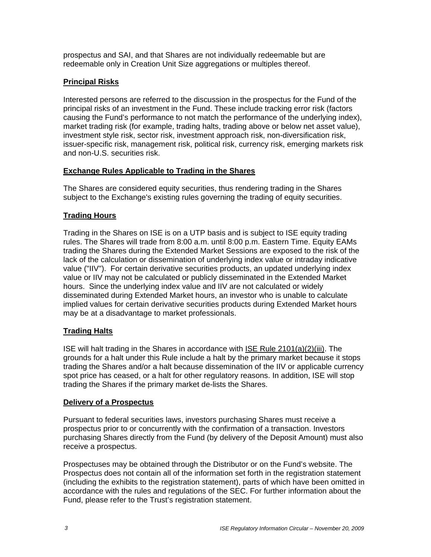prospectus and SAI, and that Shares are not individually redeemable but are redeemable only in Creation Unit Size aggregations or multiples thereof.

### **Principal Risks**

Interested persons are referred to the discussion in the prospectus for the Fund of the principal risks of an investment in the Fund. These include tracking error risk (factors causing the Fund's performance to not match the performance of the underlying index), market trading risk (for example, trading halts, trading above or below net asset value), investment style risk, sector risk, investment approach risk, non-diversification risk, issuer-specific risk, management risk, political risk, currency risk, emerging markets risk and non-U.S. securities risk.

## **Exchange Rules Applicable to Trading in the Shares**

The Shares are considered equity securities, thus rendering trading in the Shares subject to the Exchange's existing rules governing the trading of equity securities.

## **Trading Hours**

Trading in the Shares on ISE is on a UTP basis and is subject to ISE equity trading rules. The Shares will trade from 8:00 a.m. until 8:00 p.m. Eastern Time. Equity EAMs trading the Shares during the Extended Market Sessions are exposed to the risk of the lack of the calculation or dissemination of underlying index value or intraday indicative value ("IIV"). For certain derivative securities products, an updated underlying index value or IIV may not be calculated or publicly disseminated in the Extended Market hours. Since the underlying index value and IIV are not calculated or widely disseminated during Extended Market hours, an investor who is unable to calculate implied values for certain derivative securities products during Extended Market hours may be at a disadvantage to market professionals.

### **Trading Halts**

ISE will halt trading in the Shares in accordance with ISE Rule 2101(a)(2)(iii). The grounds for a halt under this Rule include a halt by the primary market because it stops trading the Shares and/or a halt because dissemination of the IIV or applicable currency spot price has ceased, or a halt for other regulatory reasons. In addition, ISE will stop trading the Shares if the primary market de-lists the Shares.

### **Delivery of a Prospectus**

Pursuant to federal securities laws, investors purchasing Shares must receive a prospectus prior to or concurrently with the confirmation of a transaction. Investors purchasing Shares directly from the Fund (by delivery of the Deposit Amount) must also receive a prospectus.

Prospectuses may be obtained through the Distributor or on the Fund's website. The Prospectus does not contain all of the information set forth in the registration statement (including the exhibits to the registration statement), parts of which have been omitted in accordance with the rules and regulations of the SEC. For further information about the Fund, please refer to the Trust's registration statement.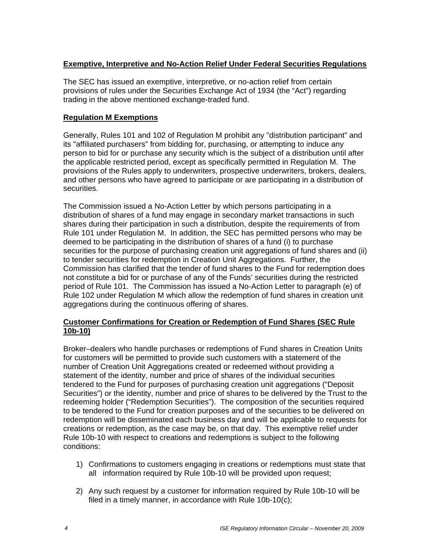#### **Exemptive, Interpretive and No-Action Relief Under Federal Securities Regulations**

The SEC has issued an exemptive, interpretive, or no-action relief from certain provisions of rules under the Securities Exchange Act of 1934 (the "Act") regarding trading in the above mentioned exchange-traded fund.

### **Regulation M Exemptions**

Generally, Rules 101 and 102 of Regulation M prohibit any "distribution participant" and its "affiliated purchasers" from bidding for, purchasing, or attempting to induce any person to bid for or purchase any security which is the subject of a distribution until after the applicable restricted period, except as specifically permitted in Regulation M. The provisions of the Rules apply to underwriters, prospective underwriters, brokers, dealers, and other persons who have agreed to participate or are participating in a distribution of securities.

The Commission issued a No-Action Letter by which persons participating in a distribution of shares of a fund may engage in secondary market transactions in such shares during their participation in such a distribution, despite the requirements of from Rule 101 under Regulation M. In addition, the SEC has permitted persons who may be deemed to be participating in the distribution of shares of a fund (i) to purchase securities for the purpose of purchasing creation unit aggregations of fund shares and (ii) to tender securities for redemption in Creation Unit Aggregations. Further, the Commission has clarified that the tender of fund shares to the Fund for redemption does not constitute a bid for or purchase of any of the Funds' securities during the restricted period of Rule 101. The Commission has issued a No-Action Letter to paragraph (e) of Rule 102 under Regulation M which allow the redemption of fund shares in creation unit aggregations during the continuous offering of shares.

#### **Customer Confirmations for Creation or Redemption of Fund Shares (SEC Rule 10b-10)**

Broker–dealers who handle purchases or redemptions of Fund shares in Creation Units for customers will be permitted to provide such customers with a statement of the number of Creation Unit Aggregations created or redeemed without providing a statement of the identity, number and price of shares of the individual securities tendered to the Fund for purposes of purchasing creation unit aggregations ("Deposit Securities") or the identity, number and price of shares to be delivered by the Trust to the redeeming holder ("Redemption Securities"). The composition of the securities required to be tendered to the Fund for creation purposes and of the securities to be delivered on redemption will be disseminated each business day and will be applicable to requests for creations or redemption, as the case may be, on that day. This exemptive relief under Rule 10b-10 with respect to creations and redemptions is subject to the following conditions:

- 1) Confirmations to customers engaging in creations or redemptions must state that all information required by Rule 10b-10 will be provided upon request;
- 2) Any such request by a customer for information required by Rule 10b-10 will be filed in a timely manner, in accordance with Rule 10b-10(c);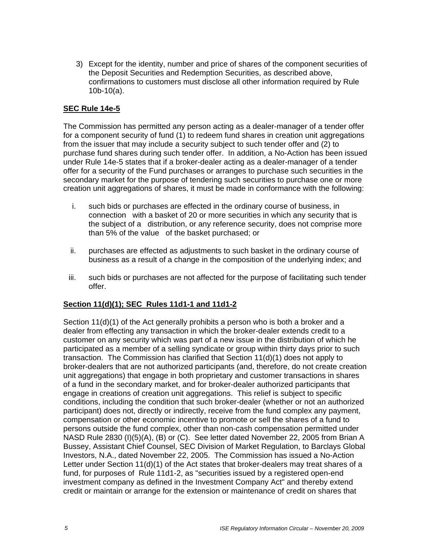3) Except for the identity, number and price of shares of the component securities of the Deposit Securities and Redemption Securities, as described above, confirmations to customers must disclose all other information required by Rule 10b-10(a).

#### **SEC Rule 14e-5**

The Commission has permitted any person acting as a dealer-manager of a tender offer for a component security of fund (1) to redeem fund shares in creation unit aggregations from the issuer that may include a security subject to such tender offer and (2) to purchase fund shares during such tender offer. In addition, a No-Action has been issued under Rule 14e-5 states that if a broker-dealer acting as a dealer-manager of a tender offer for a security of the Fund purchases or arranges to purchase such securities in the secondary market for the purpose of tendering such securities to purchase one or more creation unit aggregations of shares, it must be made in conformance with the following:

- i. such bids or purchases are effected in the ordinary course of business, in connection with a basket of 20 or more securities in which any security that is the subject of a distribution, or any reference security, does not comprise more than 5% of the value of the basket purchased; or
- ii. purchases are effected as adjustments to such basket in the ordinary course of business as a result of a change in the composition of the underlying index; and
- iii. such bids or purchases are not affected for the purpose of facilitating such tender offer.

#### **Section 11(d)(1); SEC Rules 11d1-1 and 11d1-2**

Section 11(d)(1) of the Act generally prohibits a person who is both a broker and a dealer from effecting any transaction in which the broker-dealer extends credit to a customer on any security which was part of a new issue in the distribution of which he participated as a member of a selling syndicate or group within thirty days prior to such transaction. The Commission has clarified that Section 11(d)(1) does not apply to broker-dealers that are not authorized participants (and, therefore, do not create creation unit aggregations) that engage in both proprietary and customer transactions in shares of a fund in the secondary market, and for broker-dealer authorized participants that engage in creations of creation unit aggregations. This relief is subject to specific conditions, including the condition that such broker-dealer (whether or not an authorized participant) does not, directly or indirectly, receive from the fund complex any payment, compensation or other economic incentive to promote or sell the shares of a fund to persons outside the fund complex, other than non-cash compensation permitted under NASD Rule 2830 (I)(5)(A), (B) or (C). See letter dated November 22, 2005 from Brian A Bussey, Assistant Chief Counsel, SEC Division of Market Regulation, to Barclays Global Investors, N.A., dated November 22, 2005. The Commission has issued a No-Action Letter under Section 11(d)(1) of the Act states that broker-dealers may treat shares of a fund, for purposes of Rule 11d1-2, as "securities issued by a registered open-end investment company as defined in the Investment Company Act" and thereby extend credit or maintain or arrange for the extension or maintenance of credit on shares that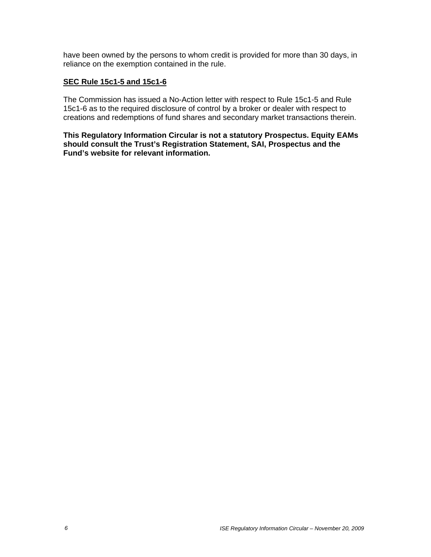have been owned by the persons to whom credit is provided for more than 30 days, in reliance on the exemption contained in the rule.

#### **SEC Rule 15c1-5 and 15c1-6**

The Commission has issued a No-Action letter with respect to Rule 15c1-5 and Rule 15c1-6 as to the required disclosure of control by a broker or dealer with respect to creations and redemptions of fund shares and secondary market transactions therein.

**This Regulatory Information Circular is not a statutory Prospectus. Equity EAMs should consult the Trust's Registration Statement, SAI, Prospectus and the Fund's website for relevant information.**